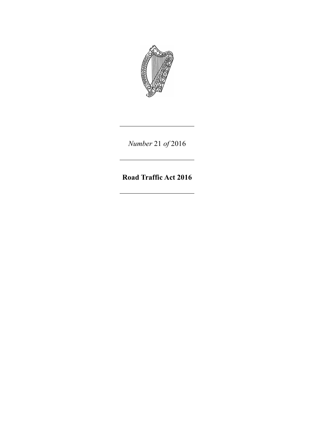

*Number* 21 *of* 2016

**Road Traffic Act 2016**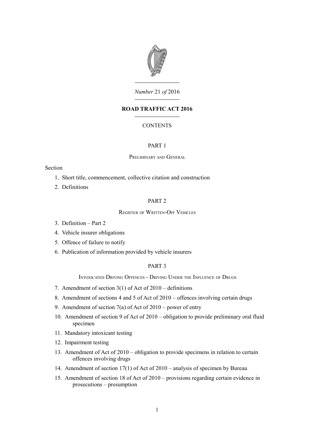

*Number* 21 *of* 2016

# **ROAD TRAFFIC ACT 2016**

## **CONTENTS**

## [PART 1](#page-6-0)

### P[RELIMINARY](#page-6-6) AND GENERAL

### Section

- 1. [Short title, commencement, collective citation and construction](#page-6-5)
- 2. [Definitions](#page-6-4)

## [PART 2](#page-6-3)

## R[EGISTER](#page-6-2) OF WRITTEN-OFF VEHICLES

- 3. [Definition Part 2](#page-6-1)
- 4. [Vehicle insurer obligations](#page-7-1)
- 5. [Offence of failure to notify](#page-7-0)
- 6. [Publication of information provided by vehicle insurers](#page-8-4)

## [PART 3](#page-8-3)

I[NTOXICATED](#page-8-2) DRIVING OFFENCES - DRIVING UNDER THE INFLUENCE OF DRUGS

- 7. [Amendment of section 3\(1\) of Act of 2010 definitions](#page-8-1)
- 8. [Amendment of sections 4 and 5 of Act of 2010 offences involving certain drugs](#page-8-0)
- 9. [Amendment of section 7\(a\) of Act of 2010 power of entry](#page-10-1)
- 10. [Amendment of section 9 of Act of 2010 obligation to provide preliminary oral fluid](#page-10-0) [specimen](#page-10-0)
- 11. [Mandatory intoxicant testing](#page-11-0)
- 12. [Impairment testing](#page-13-0)
- 13. [Amendment of Act of 2010 obligation to provide specimens in relation to certain](#page-14-0) [offences involving drugs](#page-14-0)
- 14. [Amendment of section 17\(1\) of Act of 2010 analysis of specimen by Bureau](#page-16-1)
- 15. [Amendment of section 18 of Act of 2010 provisions regarding certain evidence in](#page-16-0) [prosecutions – presumption](#page-16-0)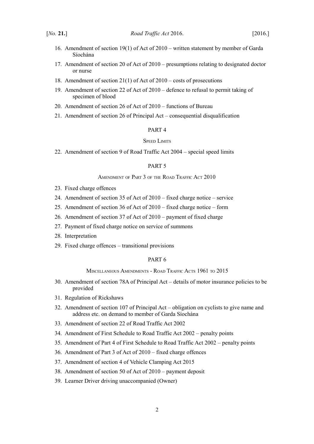- 16. [Amendment of section 19\(1\) of Act of 2010 written statement by member of Garda](#page-16-2) [Síochána](#page-16-2)
- 17. [Amendment of section 20 of Act of 2010 presumptions relating to designated doctor](#page-17-2) [or nurse](#page-17-2)
- 18. [Amendment of section 21\(1\) of Act of 2010 costs of prosecutions](#page-17-1)
- 19. [Amendment of section 22 of Act of 2010 defence to refusal to permit taking of](#page-17-0) [specimen of blood](#page-17-0)
- 20. [Amendment of section 26 of Act of 2010 functions of Bureau](#page-18-1)
- 21. [Amendment of section 26 of Principal Act consequential disqualification](#page-18-0)

# [PART 4](#page-19-5)

### SPEED L[IMITS](#page-19-4)

22. [Amendment of section 9 of Road Traffic Act 2004 – special speed limits](#page-19-3)

# [PART 5](#page-19-2)

### A[MENDMENT](#page-19-1) OF PART 3 OF THE ROAD TRAFFIC ACT 2010

- 23. [Fixed charge offences](#page-19-0)
- 24. [Amendment of section 35 of Act of 2010 fixed charge notice service](#page-20-0)
- 25. [Amendment of section 36 of Act of 2010 fixed charge notice form](#page-21-0)
- 26. [Amendment of section 37 of Act of 2010 payment of fixed charge](#page-22-1)
- 27. [Payment of fixed charge notice on service of summons](#page-22-0)
- 28. [Interpretation](#page-24-0)
- 29. [Fixed charge offences transitional provisions](#page-25-3)

# [PART 6](#page-25-2)

### M[ISCELLANEOUS](#page-25-1) AMENDMENTS - ROAD TRAFFIC ACTS 1961 TO 2015

- 30. [Amendment of section 78A of Principal Act details of motor insurance policies to be](#page-25-0) [provided](#page-25-0)
- 31. [Regulation of Rickshaws](#page-26-2)
- 32. [Amendment of section 107 of Principal Act obligation on cyclists to give name and](#page-26-1) [address etc. on demand to member of Garda Síochána](#page-26-1)
- 33. [Amendment of section 22 of Road Traffic Act 2002](#page-26-0)
- 34. [Amendment of First Schedule to Road Traffic Act 2002 penalty points](#page-27-1)
- 35. [Amendment of Part 4 of First Schedule to Road Traffic Act 2002 penalty points](#page-27-0)
- 36. [Amendment of Part 3 of Act of 2010 fixed charge offences](#page-28-0)
- 37. [Amendment of section 4 of Vehicle Clamping Act 2015](#page-29-1)
- 38. [Amendment of section 50 of Act of 2010 payment deposit](#page-29-0)
- 39. [Learner Driver driving unaccompanied \(Owner\)](#page-30-0)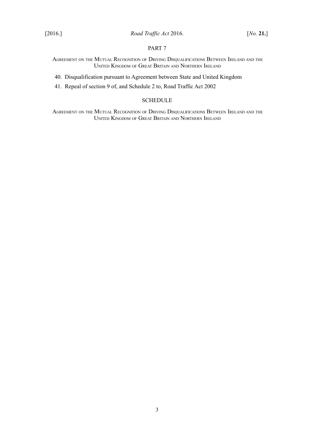## [PART 7](#page-30-3)

AGREEMENT ON THE MUTUAL RECOGNITION OF DRIVING D[ISQUALIFICATIONS](#page-30-2) BETWEEN IRELAND AND THE UNITED KINGDOM OF GREAT BRITAIN AND N[ORTHERN](#page-30-2) IRELAND

40. [Disqualification pursuant to Agreement between State and United Kingdom](#page-30-1)

41. [Repeal of section 9 of, and Schedule 2 to, Road Traffic Act 2002](#page-33-0)

### **[SCHEDULE](#page-35-1)**

AGREEMENT ON THE MUTUAL RECOGNITION OF DRIVING D[ISQUALIFICATIONS](#page-35-0) BETWEEN IRELAND AND THE UNITED KINGDOM OF GREAT BRITAIN AND N[ORTHERN](#page-35-0) IRELAND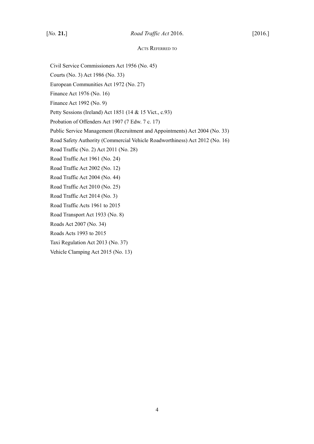### ACTS REFERRED TO

- Civil Service Commissioners Act 1956 (No. 45)
- Courts (No. 3) Act 1986 (No. 33)
- European Communities Act 1972 (No. 27)
- Finance Act 1976 (No. 16)
- Finance Act 1992 (No. 9)
- Petty Sessions (Ireland) Act 1851 (14 & 15 Vict., c.93)
- Probation of Offenders Act 1907 (7 Edw. 7 c. 17)
- Public Service Management (Recruitment and Appointments) Act 2004 (No. 33)
- Road Safety Authority (Commercial Vehicle Roadworthiness) Act 2012 (No. 16)
- Road Traffic (No. 2) Act 2011 (No. 28)
- Road Traffic Act 1961 (No. 24)
- Road Traffic Act 2002 (No. 12)
- Road Traffic Act 2004 (No. 44)
- Road Traffic Act 2010 (No. 25)
- Road Traffic Act 2014 (No. 3)
- Road Traffic Acts 1961 to 2015
- Road Transport Act 1933 (No. 8)
- Roads Act 2007 (No. 34)
- Roads Acts 1993 to 2015
- Taxi Regulation Act 2013 (No. 37)
- Vehicle Clamping Act 2015 (No. 13)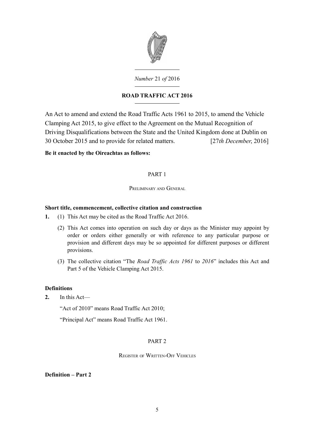

# *Number* 21 *of* 2016

# **ROAD TRAFFIC ACT 2016**

An Act to amend and extend the Road Traffic Acts 1961 to 2015, to amend the Vehicle Clamping Act 2015, to give effect to the Agreement on the Mutual Recognition of Driving Disqualifications between the State and the United Kingdom done at Dublin on 30 October 2015 and to provide for related matters. [27*th December*, 2016]

# **Be it enacted by the Oireachtas as follows:**

# <span id="page-6-0"></span>PART 1

<span id="page-6-6"></span>PRELIMINARY AND GENERAL

# <span id="page-6-5"></span>**Short title, commencement, collective citation and construction**

- **1.** (1) This Act may be cited as the Road Traffic Act 2016.
	- (2) This Act comes into operation on such day or days as the Minister may appoint by order or orders either generally or with reference to any particular purpose or provision and different days may be so appointed for different purposes or different provisions.
	- (3) The collective citation "The *Road Traffic Acts 1961* to *2016*" includes this Act and Part 5 of the Vehicle Clamping Act 2015.

# <span id="page-6-4"></span>**Definitions**

**2.** In this Act—

"Act of 2010" means Road Traffic Act 2010;

"Principal Act" means Road Traffic Act 1961.

## <span id="page-6-3"></span>PART 2

## <span id="page-6-2"></span>REGISTER OF WRITTEN-OFF VEHICLES

# <span id="page-6-1"></span>**Definition – Part 2**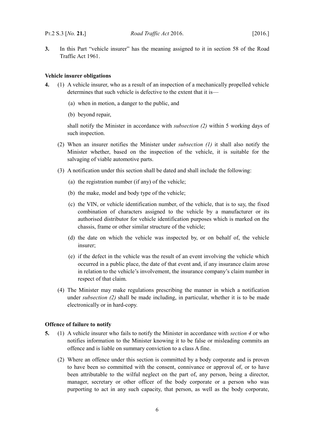**3.** In this Part "vehicle insurer" has the meaning assigned to it in section 58 of the Road Traffic Act 1961.

#### <span id="page-7-1"></span>**Vehicle insurer obligations**

- <span id="page-7-4"></span><span id="page-7-2"></span>**4.** (1) A vehicle insurer, who as a result of an inspection of a mechanically propelled vehicle determines that such vehicle is defective to the extent that it is—
	- (a) when in motion, a danger to the public, and
	- (b) beyond repair,

shall notify the Minister in accordance with *subsection [\(2\)](#page-7-3)* within 5 working days of such inspection.

- <span id="page-7-3"></span>(2) When an insurer notifies the Minister under *subsection [\(1\)](#page-7-4)* it shall also notify the Minister whether, based on the inspection of the vehicle, it is suitable for the salvaging of viable automotive parts.
- (3) A notification under this section shall be dated and shall include the following:
	- (a) the registration number (if any) of the vehicle;
	- (b) the make, model and body type of the vehicle;
	- (c) the VIN, or vehicle identification number, of the vehicle, that is to say, the fixed combination of characters assigned to the vehicle by a manufacturer or its authorised distributor for vehicle identification purposes which is marked on the chassis, frame or other similar structure of the vehicle;
	- (d) the date on which the vehicle was inspected by, or on behalf of, the vehicle insurer;
	- (e) if the defect in the vehicle was the result of an event involving the vehicle which occurred in a public place, the date of that event and, if any insurance claim arose in relation to the vehicle's involvement, the insurance company's claim number in respect of that claim.
- (4) The Minister may make regulations prescribing the manner in which a notification under *subsection [\(2\)](#page-7-3)* shall be made including, in particular, whether it is to be made electronically or in hard-copy.

#### <span id="page-7-0"></span>**Offence of failure to notify**

- <span id="page-7-5"></span>**5.** (1) A vehicle insurer who fails to notify the Minister in accordance with *section [4](#page-7-2)* or who notifies information to the Minister knowing it to be false or misleading commits an offence and is liable on summary conviction to a class A fine.
	- (2) Where an offence under this section is committed by a body corporate and is proven to have been so committed with the consent, connivance or approval of, or to have been attributable to the wilful neglect on the part of, any person, being a director, manager, secretary or other officer of the body corporate or a person who was purporting to act in any such capacity, that person, as well as the body corporate,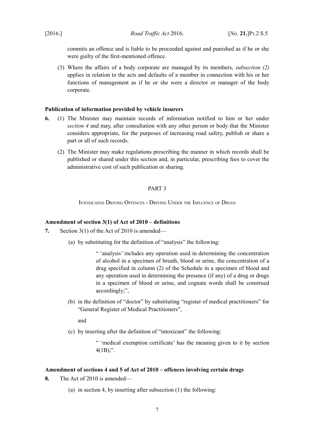commits an offence and is liable to be proceeded against and punished as if he or she were guilty of the first-mentioned offence.

(3) Where the affairs of a body corporate are managed by its members, *subsection [\(2\)](#page-7-5)* applies in relation to the acts and defaults of a member in connection with his or her functions of management as if he or she were a director or manager of the body corporate.

### <span id="page-8-4"></span>**Publication of information provided by vehicle insurers**

- **6.** (1) The Minister may maintain records of information notified to him or her under *section [4](#page-7-2)* and may, after consultation with any other person or body that the Minister considers appropriate, for the purposes of increasing road safety, publish or share a part or all of such records.
	- (2) The Minister may make regulations prescribing the manner in which records shall be published or shared under this section and, in particular, prescribing fees to cover the administrative cost of such publication or sharing.

# <span id="page-8-3"></span>PART 3

<span id="page-8-2"></span>INTOXICATED DRIVING OFFENCES - DRIVING UNDER THE INFLUENCE OF DRUGS

## <span id="page-8-1"></span>**Amendment of section 3(1) of Act of 2010 – definitions**

- **7.** Section 3(1) of the Act of 2010 is amended—
	- (a) by substituting for the definition of "analysis" the following:

" 'analysis' includes any operation used in determining the concentration of alcohol in a specimen of breath, blood or urine, the concentration of a drug specified in column (2) of the Schedule in a specimen of blood and any operation used in determining the presence (if any) of a drug or drugs in a specimen of blood or urine, and cognate words shall be construed accordingly;",

(b) in the definition of "doctor" by substituting "register of medical practitioners" for "General Register of Medical Practitioners",

and

(c) by inserting after the definition of "intoxicant" the following:

" 'medical exemption certificate' has the meaning given to it by section  $4(1B)$ ;".

### <span id="page-8-0"></span>**Amendment of sections 4 and 5 of Act of 2010 – offences involving certain drugs**

**8.** The Act of 2010 is amended—

<span id="page-8-5"></span>(a) in section 4, by inserting after subsection (1) the following: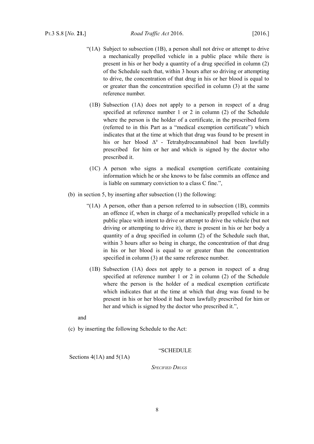- "(1A) Subject to subsection (1B), a person shall not drive or attempt to drive a mechanically propelled vehicle in a public place while there is present in his or her body a quantity of a drug specified in column (2) of the Schedule such that, within 3 hours after so driving or attempting to drive, the concentration of that drug in his or her blood is equal to or greater than the concentration specified in column (3) at the same reference number.
- (1B) Subsection (1A) does not apply to a person in respect of a drug specified at reference number 1 or 2 in column (2) of the Schedule where the person is the holder of a certificate, in the prescribed form (referred to in this Part as a "medical exemption certificate") which indicates that at the time at which that drug was found to be present in his or her blood  $\Delta^9$  - Tetrahydrocannabinol had been lawfully prescribed for him or her and which is signed by the doctor who prescribed it.
- (1C) A person who signs a medical exemption certificate containing information which he or she knows to be false commits an offence and is liable on summary conviction to a class C fine.",
- (b) in section 5, by inserting after subsection (1) the following:
	- "( $1A$ ) A person, other than a person referred to in subsection  $(1B)$ , commits an offence if, when in charge of a mechanically propelled vehicle in a public place with intent to drive or attempt to drive the vehicle (but not driving or attempting to drive it), there is present in his or her body a quantity of a drug specified in column (2) of the Schedule such that, within 3 hours after so being in charge, the concentration of that drug in his or her blood is equal to or greater than the concentration specified in column (3) at the same reference number.
	- (1B) Subsection (1A) does not apply to a person in respect of a drug specified at reference number 1 or 2 in column (2) of the Schedule where the person is the holder of a medical exemption certificate which indicates that at the time at which that drug was found to be present in his or her blood it had been lawfully prescribed for him or her and which is signed by the doctor who prescribed it.",

and

(c) by inserting the following Schedule to the Act:

"SCHEDULE

Sections 4(1A) and 5(1A)

*SPECIFIED DRUGS*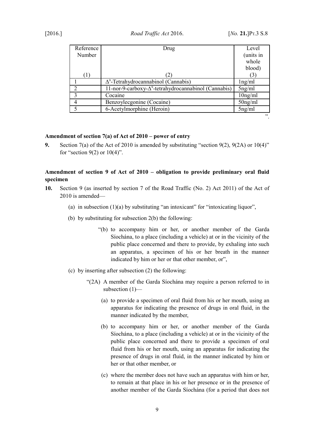| Reference | Drug                                                          | Level      |
|-----------|---------------------------------------------------------------|------------|
| Number    |                                                               | (units in  |
|           |                                                               | whole      |
|           |                                                               | blood)     |
| (1)       |                                                               |            |
|           | $\Delta^9$ -Tetrahydrocannabinol (Cannabis)                   | lng/ml     |
|           | 11-nor-9-carboxy- $\Delta^9$ -tetrahydrocannabinol (Cannabis) | $5$ ng/ml  |
|           | Cocaine                                                       | $10$ ng/ml |
|           | Benzoylecgonine (Cocaine)                                     | $50$ ng/ml |
|           | 6-Acetylmorphine (Heroin)                                     | $5$ ng/ml  |
|           |                                                               | 22         |

## <span id="page-10-1"></span>**Amendment of section 7(a) of Act of 2010 – power of entry**

**9.** Section 7(a) of the Act of 2010 is amended by substituting "section 9(2), 9(2A) or 10(4)" for "section  $9(2)$  or  $10(4)$ ".

# <span id="page-10-0"></span>**Amendment of section 9 of Act of 2010 – obligation to provide preliminary oral fluid specimen**

- **10.** Section 9 (as inserted by section 7 of the Road Traffic (No. 2) Act 2011) of the Act of 2010 is amended—
	- (a) in subsection  $(1)(a)$  by substituting "an intoxicant" for "intoxicating liquor",
	- (b) by substituting for subsection 2(b) the following:
		- "(b) to accompany him or her, or another member of the Garda Síochána, to a place (including a vehicle) at or in the vicinity of the public place concerned and there to provide, by exhaling into such an apparatus, a specimen of his or her breath in the manner indicated by him or her or that other member, or",
	- (c) by inserting after subsection (2) the following:
		- "(2A) A member of the Garda Síochána may require a person referred to in subsection (1)—
			- (a) to provide a specimen of oral fluid from his or her mouth, using an apparatus for indicating the presence of drugs in oral fluid, in the manner indicated by the member,
			- (b) to accompany him or her, or another member of the Garda Síochána, to a place (including a vehicle) at or in the vicinity of the public place concerned and there to provide a specimen of oral fluid from his or her mouth, using an apparatus for indicating the presence of drugs in oral fluid, in the manner indicated by him or her or that other member, or
			- (c) where the member does not have such an apparatus with him or her, to remain at that place in his or her presence or in the presence of another member of the Garda Síochána (for a period that does not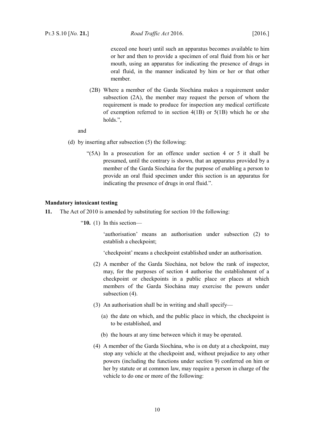exceed one hour) until such an apparatus becomes available to him or her and then to provide a specimen of oral fluid from his or her mouth, using an apparatus for indicating the presence of drugs in oral fluid, in the manner indicated by him or her or that other member.

(2B) Where a member of the Garda Síochána makes a requirement under subsection (2A), the member may request the person of whom the requirement is made to produce for inspection any medical certificate of exemption referred to in section 4(1B) or 5(1B) which he or she holds.",

### and

- (d) by inserting after subsection (5) the following:
	- "(5A) In a prosecution for an offence under section 4 or 5 it shall be presumed, until the contrary is shown, that an apparatus provided by a member of the Garda Síochána for the purpose of enabling a person to provide an oral fluid specimen under this section is an apparatus for indicating the presence of drugs in oral fluid.".

#### <span id="page-11-0"></span>**Mandatory intoxicant testing**

- **11.** The Act of 2010 is amended by substituting for section 10 the following:
	- "**10.** (1) In this section—

'authorisation' means an authorisation under subsection (2) to establish a checkpoint;

'checkpoint' means a checkpoint established under an authorisation.

- (2) A member of the Garda Síochána, not below the rank of inspector, may, for the purposes of section 4 authorise the establishment of a checkpoint or checkpoints in a public place or places at which members of the Garda Síochána may exercise the powers under subsection (4).
- (3) An authorisation shall be in writing and shall specify—
	- (a) the date on which, and the public place in which, the checkpoint is to be established, and
	- (b) the hours at any time between which it may be operated.
- (4) A member of the Garda Síochána, who is on duty at a checkpoint, may stop any vehicle at the checkpoint and, without prejudice to any other powers (including the functions under section 9) conferred on him or her by statute or at common law, may require a person in charge of the vehicle to do one or more of the following: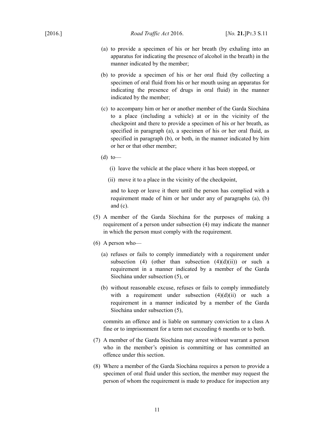- (a) to provide a specimen of his or her breath (by exhaling into an apparatus for indicating the presence of alcohol in the breath) in the manner indicated by the member;
- (b) to provide a specimen of his or her oral fluid (by collecting a specimen of oral fluid from his or her mouth using an apparatus for indicating the presence of drugs in oral fluid) in the manner indicated by the member;
- (c) to accompany him or her or another member of the Garda Síochána to a place (including a vehicle) at or in the vicinity of the checkpoint and there to provide a specimen of his or her breath, as specified in paragraph (a), a specimen of his or her oral fluid, as specified in paragraph (b), or both, in the manner indicated by him or her or that other member;
- $(d)$  to
	- (i) leave the vehicle at the place where it has been stopped, or
	- (ii) move it to a place in the vicinity of the checkpoint,

and to keep or leave it there until the person has complied with a requirement made of him or her under any of paragraphs (a), (b) and (c).

- (5) A member of the Garda Síochána for the purposes of making a requirement of a person under subsection (4) may indicate the manner in which the person must comply with the requirement.
- (6) A person who—
	- (a) refuses or fails to comply immediately with a requirement under subsection (4) (other than subsection  $(4)(d)(ii)$ ) or such a requirement in a manner indicated by a member of the Garda Síochána under subsection (5), or
	- (b) without reasonable excuse, refuses or fails to comply immediately with a requirement under subsection  $(4)(d)(ii)$  or such a requirement in a manner indicated by a member of the Garda Síochána under subsection (5),

commits an offence and is liable on summary conviction to a class A fine or to imprisonment for a term not exceeding 6 months or to both.

- (7) A member of the Garda Síochána may arrest without warrant a person who in the member's opinion is committing or has committed an offence under this section.
- (8) Where a member of the Garda Síochána requires a person to provide a specimen of oral fluid under this section, the member may request the person of whom the requirement is made to produce for inspection any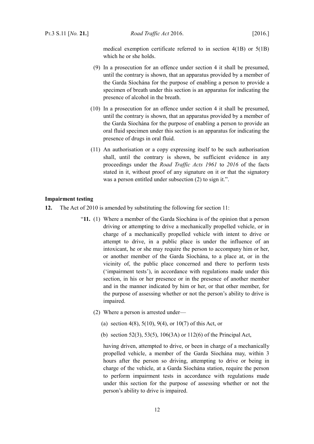medical exemption certificate referred to in section 4(1B) or 5(1B) which he or she holds.

- (9) In a prosecution for an offence under section 4 it shall be presumed, until the contrary is shown, that an apparatus provided by a member of the Garda Síochána for the purpose of enabling a person to provide a specimen of breath under this section is an apparatus for indicating the presence of alcohol in the breath.
- (10) In a prosecution for an offence under section 4 it shall be presumed, until the contrary is shown, that an apparatus provided by a member of the Garda Síochána for the purpose of enabling a person to provide an oral fluid specimen under this section is an apparatus for indicating the presence of drugs in oral fluid.
- (11) An authorisation or a copy expressing itself to be such authorisation shall, until the contrary is shown, be sufficient evidence in any proceedings under the *Road Traffic Acts 1961* to *2016* of the facts stated in it, without proof of any signature on it or that the signatory was a person entitled under subsection (2) to sign it.".

## <span id="page-13-0"></span>**Impairment testing**

- **12.** The Act of 2010 is amended by substituting the following for section 11:
	- "**11.** (1) Where a member of the Garda Síochána is of the opinion that a person driving or attempting to drive a mechanically propelled vehicle, or in charge of a mechanically propelled vehicle with intent to drive or attempt to drive, in a public place is under the influence of an intoxicant, he or she may require the person to accompany him or her, or another member of the Garda Síochána, to a place at, or in the vicinity of, the public place concerned and there to perform tests ('impairment tests'), in accordance with regulations made under this section, in his or her presence or in the presence of another member and in the manner indicated by him or her, or that other member, for the purpose of assessing whether or not the person's ability to drive is impaired.
		- (2) Where a person is arrested under—
			- (a) section 4(8),  $5(10)$ ,  $9(4)$ , or  $10(7)$  of this Act, or
			- (b) section 52(3), 53(5), 106(3A) or 112(6) of the Principal Act,

having driven, attempted to drive, or been in charge of a mechanically propelled vehicle, a member of the Garda Síochána may, within 3 hours after the person so driving, attempting to drive or being in charge of the vehicle, at a Garda Síochána station, require the person to perform impairment tests in accordance with regulations made under this section for the purpose of assessing whether or not the person's ability to drive is impaired.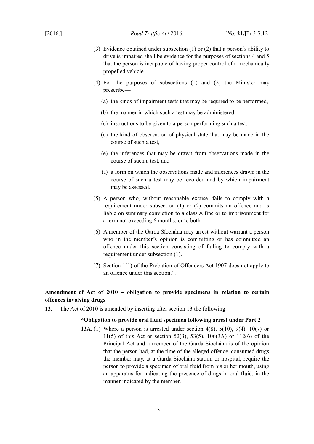- (3) Evidence obtained under subsection (1) or (2) that a person's ability to drive is impaired shall be evidence for the purposes of sections 4 and 5 that the person is incapable of having proper control of a mechanically propelled vehicle.
- (4) For the purposes of subsections (1) and (2) the Minister may prescribe—
	- (a) the kinds of impairment tests that may be required to be performed,
	- (b) the manner in which such a test may be administered,
	- (c) instructions to be given to a person performing such a test,
	- (d) the kind of observation of physical state that may be made in the course of such a test,
	- (e) the inferences that may be drawn from observations made in the course of such a test, and
	- (f) a form on which the observations made and inferences drawn in the course of such a test may be recorded and by which impairment may be assessed.
- (5) A person who, without reasonable excuse, fails to comply with a requirement under subsection (1) or (2) commits an offence and is liable on summary conviction to a class A fine or to imprisonment for a term not exceeding 6 months, or to both.
- (6) A member of the Garda Síochána may arrest without warrant a person who in the member's opinion is committing or has committed an offence under this section consisting of failing to comply with a requirement under subsection (1).
- (7) Section 1(1) of the Probation of Offenders Act 1907 does not apply to an offence under this section.".

# <span id="page-14-0"></span>**Amendment of Act of 2010 – obligation to provide specimens in relation to certain offences involving drugs**

**13.** The Act of 2010 is amended by inserting after section 13 the following:

# **"Obligation to provide oral fluid specimen following arrest under Part 2**

**13A.** (1) Where a person is arrested under section 4(8), 5(10), 9(4), 10(7) or 11(5) of this Act or section 52(3), 53(5), 106(3A) or 112(6) of the Principal Act and a member of the Garda Síochána is of the opinion that the person had, at the time of the alleged offence, consumed drugs the member may, at a Garda Síochána station or hospital, require the person to provide a specimen of oral fluid from his or her mouth, using an apparatus for indicating the presence of drugs in oral fluid, in the manner indicated by the member.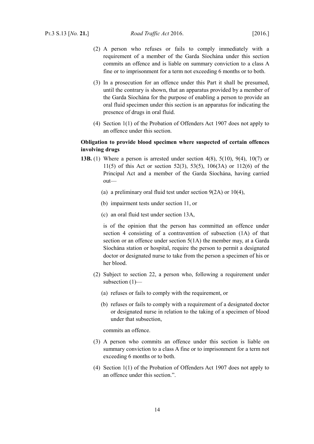- (2) A person who refuses or fails to comply immediately with a requirement of a member of the Garda Síochána under this section commits an offence and is liable on summary conviction to a class A fine or to imprisonment for a term not exceeding 6 months or to both.
- (3) In a prosecution for an offence under this Part it shall be presumed, until the contrary is shown, that an apparatus provided by a member of the Garda Síochána for the purpose of enabling a person to provide an oral fluid specimen under this section is an apparatus for indicating the presence of drugs in oral fluid.
- (4) Section 1(1) of the Probation of Offenders Act 1907 does not apply to an offence under this section.

# **Obligation to provide blood specimen where suspected of certain offences involving drugs**

- **13B.** (1) Where a person is arrested under section 4(8), 5(10), 9(4), 10(7) or 11(5) of this Act or section 52(3), 53(5), 106(3A) or 112(6) of the Principal Act and a member of the Garda Síochána, having carried out—
	- (a) a preliminary oral fluid test under section 9(2A) or 10(4),
	- (b) impairment tests under section 11, or
	- (c) an oral fluid test under section 13A,

is of the opinion that the person has committed an offence under section 4 consisting of a contravention of subsection (1A) of that section or an offence under section 5(1A) the member may, at a Garda Síochána station or hospital, require the person to permit a designated doctor or designated nurse to take from the person a specimen of his or her blood.

- (2) Subject to section 22, a person who, following a requirement under subsection (1)—
	- (a) refuses or fails to comply with the requirement, or
	- (b) refuses or fails to comply with a requirement of a designated doctor or designated nurse in relation to the taking of a specimen of blood under that subsection,

commits an offence.

- (3) A person who commits an offence under this section is liable on summary conviction to a class A fine or to imprisonment for a term not exceeding 6 months or to both.
- (4) Section 1(1) of the Probation of Offenders Act 1907 does not apply to an offence under this section.".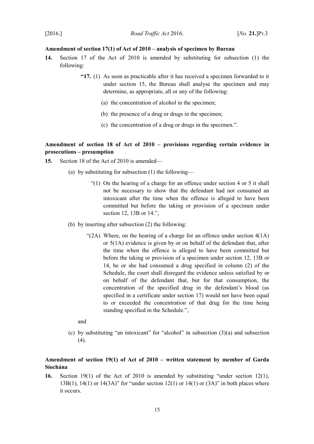## <span id="page-16-1"></span>**Amendment of section 17(1) of Act of 2010 – analysis of specimen by Bureau**

- **14.** Section 17 of the Act of 2010 is amended by substituting for subsection (1) the following:
	- **"17.** (1) As soon as practicable after it has received a specimen forwarded to it under section 15, the Bureau shall analyse the specimen and may determine, as appropriate, all or any of the following:
		- (a) the concentration of alcohol in the specimen;
		- (b) the presence of a drug or drugs in the specimen;
		- (c) the concentration of a drug or drugs in the specimen.".

# <span id="page-16-0"></span>**Amendment of section 18 of Act of 2010 – provisions regarding certain evidence in prosecutions – presumption**

- **15.** Section 18 of the Act of 2010 is amended—
	- (a) by substituting for subsection (1) the following—
		- "(1) On the hearing of a charge for an offence under section 4 or 5 it shall not be necessary to show that the defendant had not consumed an intoxicant after the time when the offence is alleged to have been committed but before the taking or provision of a specimen under section 12, 13B or 14.",
	- (b) by inserting after subsection (2) the following:
		- "(2A) Where, on the hearing of a charge for an offence under section  $4(1A)$ or 5(1A) evidence is given by or on behalf of the defendant that, after the time when the offence is alleged to have been committed but before the taking or provision of a specimen under section 12, 13B or 14, he or she had consumed a drug specified in column (2) of the Schedule, the court shall disregard the evidence unless satisfied by or on behalf of the defendant that, but for that consumption, the concentration of the specified drug in the defendant's blood (as specified in a certificate under section 17) would not have been equal to or exceeded the concentration of that drug for the time being standing specified in the Schedule.",

and

(c) by substituting "an intoxicant" for "alcohol" in subsection (3)(a) and subsection  $(4)$ .

# <span id="page-16-2"></span>**Amendment of section 19(1) of Act of 2010 – written statement by member of Garda Síochána**

**16.** Section 19(1) of the Act of 2010 is amended by substituting "under section 12(1), 13B(1), 14(1) or 14(3A)" for "under section 12(1) or 14(1) or (3A)" in both places where it occurs.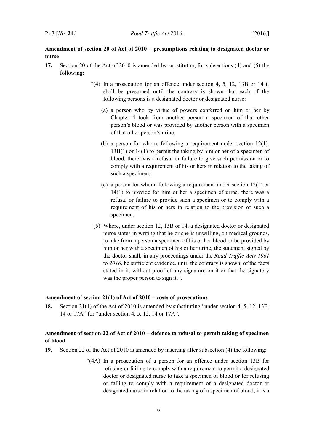# <span id="page-17-2"></span>**Amendment of section 20 of Act of 2010 – presumptions relating to designated doctor or nurse**

- **17.** Section 20 of the Act of 2010 is amended by substituting for subsections (4) and (5) the following:
	- "(4) In a prosecution for an offence under section 4, 5, 12, 13B or 14 it shall be presumed until the contrary is shown that each of the following persons is a designated doctor or designated nurse:
		- (a) a person who by virtue of powers conferred on him or her by Chapter 4 took from another person a specimen of that other person's blood or was provided by another person with a specimen of that other person's urine;
		- (b) a person for whom, following a requirement under section 12(1), 13B(1) or 14(1) to permit the taking by him or her of a specimen of blood, there was a refusal or failure to give such permission or to comply with a requirement of his or hers in relation to the taking of such a specimen;
		- (c) a person for whom, following a requirement under section 12(1) or 14(1) to provide for him or her a specimen of urine, there was a refusal or failure to provide such a specimen or to comply with a requirement of his or hers in relation to the provision of such a specimen.
	- (5) Where, under section 12, 13B or 14, a designated doctor or designated nurse states in writing that he or she is unwilling, on medical grounds, to take from a person a specimen of his or her blood or be provided by him or her with a specimen of his or her urine, the statement signed by the doctor shall, in any proceedings under the *Road Traffic Acts 1961* to *2016*, be sufficient evidence, until the contrary is shown, of the facts stated in it, without proof of any signature on it or that the signatory was the proper person to sign it.".

### <span id="page-17-1"></span>**Amendment of section 21(1) of Act of 2010 – costs of prosecutions**

**18.** Section 21(1) of the Act of 2010 is amended by substituting "under section 4, 5, 12, 13B, 14 or 17A" for "under section 4, 5, 12, 14 or 17A".

# <span id="page-17-0"></span>**Amendment of section 22 of Act of 2010 – defence to refusal to permit taking of specimen of blood**

- **19.** Section 22 of the Act of 2010 is amended by inserting after subsection (4) the following:
	- "(4A) In a prosecution of a person for an offence under section 13B for refusing or failing to comply with a requirement to permit a designated doctor or designated nurse to take a specimen of blood or for refusing or failing to comply with a requirement of a designated doctor or designated nurse in relation to the taking of a specimen of blood, it is a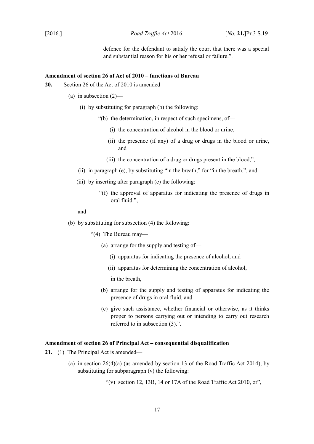defence for the defendant to satisfy the court that there was a special and substantial reason for his or her refusal or failure."

#### <span id="page-18-1"></span>**Amendment of section 26 of Act of 2010 – functions of Bureau**

- **20.** Section 26 of the Act of 2010 is amended—
	- (a) in subsection  $(2)$ 
		- (i) by substituting for paragraph (b) the following:
			- "(b) the determination, in respect of such specimens, of—
				- (i) the concentration of alcohol in the blood or urine,
				- (ii) the presence (if any) of a drug or drugs in the blood or urine, and
				- (iii) the concentration of a drug or drugs present in the blood,",
		- (ii) in paragraph (e), by substituting "in the breath," for "in the breath.", and
		- (iii) by inserting after paragraph (e) the following:
			- "(f) the approval of apparatus for indicating the presence of drugs in oral fluid.",

#### and

- (b) by substituting for subsection (4) the following:
	- "(4) The Bureau may—
		- (a) arrange for the supply and testing of—
			- (i) apparatus for indicating the presence of alcohol, and
			- (ii) apparatus for determining the concentration of alcohol,

in the breath,

- (b) arrange for the supply and testing of apparatus for indicating the presence of drugs in oral fluid, and
- (c) give such assistance, whether financial or otherwise, as it thinks proper to persons carrying out or intending to carry out research referred to in subsection (3).".

### <span id="page-18-0"></span>**Amendment of section 26 of Principal Act – consequential disqualification**

- **21.** (1) The Principal Act is amended—
	- (a) in section  $26(4)(a)$  (as amended by section 13 of the Road Traffic Act 2014), by substituting for subparagraph (v) the following:

"(v) section 12, 13B, 14 or 17A of the Road Traffic Act 2010, or",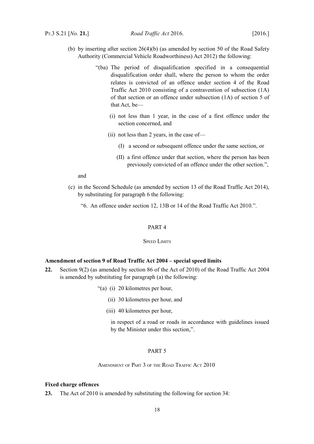- (b) by inserting after section 26(4)(b) (as amended by section 50 of the Road Safety Authority (Commercial Vehicle Roadworthiness) Act 2012) the following:
	- "(ba) The period of disqualification specified in a consequential disqualification order shall, where the person to whom the order relates is convicted of an offence under section 4 of the Road Traffic Act 2010 consisting of a contravention of subsection (1A) of that section or an offence under subsection (1A) of section 5 of that Act, be—
		- (i) not less than 1 year, in the case of a first offence under the section concerned, and
		- (ii) not less than 2 years, in the case of—
			- (I) a second or subsequent offence under the same section, or
			- (II) a first offence under that section, where the person has been previously convicted of an offence under the other section.",

and

- (c) in the Second Schedule (as amended by section 13 of the Road Traffic Act 2014), by substituting for paragraph 6 the following:
	- "6. An offence under section 12, 13B or 14 of the Road Traffic Act 2010.".

## <span id="page-19-5"></span>PART 4

#### <span id="page-19-4"></span>**SPEED LIMITS**

#### <span id="page-19-3"></span>**Amendment of section 9 of Road Traffic Act 2004 – special speed limits**

- **22.** Section 9(2) (as amended by section 86 of the Act of 2010) of the Road Traffic Act 2004 is amended by substituting for paragraph (a) the following:
	- "(a) (i) 20 kilometres per hour,
		- (ii) 30 kilometres per hour, and
		- (iii) 40 kilometres per hour,
			- in respect of a road or roads in accordance with guidelines issued by the Minister under this section,".

## <span id="page-19-2"></span>PART 5

<span id="page-19-1"></span>AMENDMENT OF PART 3 OF THE ROAD TRAFFIC ACT 2010

### <span id="page-19-0"></span>**Fixed charge offences**

**23.** The Act of 2010 is amended by substituting the following for section 34: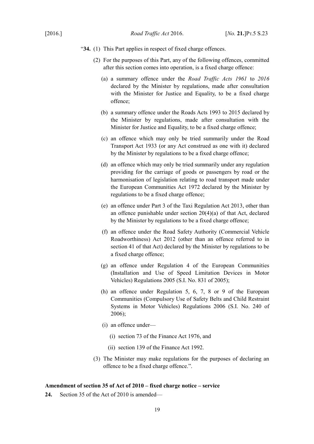- "**34.** (1) This Part applies in respect of fixed charge offences.
	- (2) For the purposes of this Part, any of the following offences, committed after this section comes into operation, is a fixed charge offence:
		- (a) a summary offence under the *Road Traffic Acts 1961* to *2016* declared by the Minister by regulations, made after consultation with the Minister for Justice and Equality, to be a fixed charge offence;
		- (b) a summary offence under the Roads Acts 1993 to 2015 declared by the Minister by regulations, made after consultation with the Minister for Justice and Equality, to be a fixed charge offence;
		- (c) an offence which may only be tried summarily under the Road Transport Act 1933 (or any Act construed as one with it) declared by the Minister by regulations to be a fixed charge offence;
		- (d) an offence which may only be tried summarily under any regulation providing for the carriage of goods or passengers by road or the harmonisation of legislation relating to road transport made under the European Communities Act 1972 declared by the Minister by regulations to be a fixed charge offence;
		- (e) an offence under Part 3 of the Taxi Regulation Act 2013, other than an offence punishable under section 20(4)(a) of that Act, declared by the Minister by regulations to be a fixed charge offence;
		- (f) an offence under the Road Safety Authority (Commercial Vehicle Roadworthiness) Act 2012 (other than an offence referred to in section 41 of that Act) declared by the Minister by regulations to be a fixed charge offence;
		- (g) an offence under Regulation 4 of the European Communities (Installation and Use of Speed Limitation Devices in Motor Vehicles) Regulations 2005 (S.I. No. 831 of 2005);
		- (h) an offence under Regulation 5, 6, 7, 8 or 9 of the European Communities (Compulsory Use of Safety Belts and Child Restraint Systems in Motor Vehicles) Regulations 2006 (S.I. No. 240 of 2006);
		- (i) an offence under—
			- (i) section 73 of the Finance Act 1976, and
			- (ii) section 139 of the Finance Act 1992.
	- (3) The Minister may make regulations for the purposes of declaring an offence to be a fixed charge offence.".

# <span id="page-20-0"></span>**Amendment of section 35 of Act of 2010 – fixed charge notice – service**

**24.** Section 35 of the Act of 2010 is amended—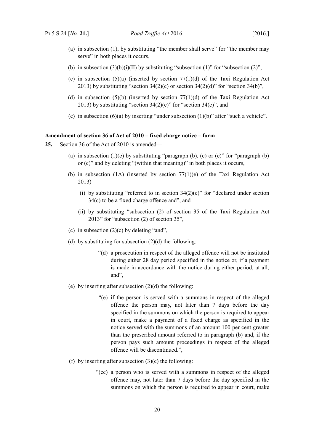- (a) in subsection (1), by substituting "the member shall serve" for "the member may serve" in both places it occurs.
- (b) in subsection  $(3)(b)(i)(II)$  by substituting "subsection  $(1)$ " for "subsection  $(2)$ ",
- (c) in subsection (5)(a) (inserted by section 77(1)(d) of the Taxi Regulation Act 2013) by substituting "section  $34(2)(c)$  or section  $34(2)(d)$ " for "section  $34(b)$ ",
- (d) in subsection (5)(b) (inserted by section 77(1)(d) of the Taxi Regulation Act 2013) by substituting "section  $34(2)(e)$ " for "section  $34(e)$ ", and
- (e) in subsection  $(6)(a)$  by inserting "under subsection  $(1)(b)$ " after "such a vehicle".

## <span id="page-21-0"></span>**Amendment of section 36 of Act of 2010 – fixed charge notice – form**

- **25.** Section 36 of the Act of 2010 is amended—
	- (a) in subsection  $(1)(e)$  by substituting "paragraph (b), (c) or  $(e)$ " for "paragraph (b) or (c)" and by deleting "(within that meaning)" in both places it occurs,
	- (b) in subsection (1A) (inserted by section 77(1)(e) of the Taxi Regulation Act  $2013$ )—
		- (i) by substituting "referred to in section  $34(2)(e)$ " for "declared under section 34(c) to be a fixed charge offence and", and
		- (ii) by substituting "subsection (2) of section 35 of the Taxi Regulation Act 2013" for "subsection (2) of section 35",
	- (c) in subsection  $(2)(c)$  by deleting "and",
	- (d) by substituting for subsection  $(2)(d)$  the following:
		- "(d) a prosecution in respect of the alleged offence will not be instituted during either 28 day period specified in the notice or, if a payment is made in accordance with the notice during either period, at all, and",
	- (e) by inserting after subsection  $(2)(d)$  the following:
		- "(e) if the person is served with a summons in respect of the alleged offence the person may, not later than 7 days before the day specified in the summons on which the person is required to appear in court, make a payment of a fixed charge as specified in the notice served with the summons of an amount 100 per cent greater than the prescribed amount referred to in paragraph (b) and, if the person pays such amount proceedings in respect of the alleged offence will be discontinued.",
	- (f) by inserting after subsection  $(3)(c)$  the following:
		- "(cc) a person who is served with a summons in respect of the alleged offence may, not later than 7 days before the day specified in the summons on which the person is required to appear in court, make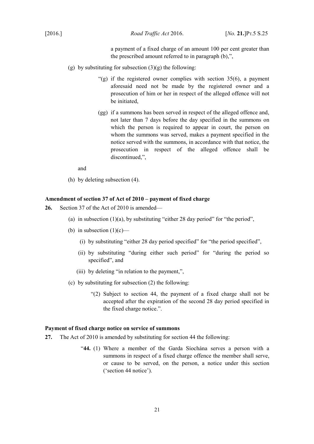[2016.] *Road Traffic Act* 2016. [*No.* **21.**]PT.5 S.25

a payment of a fixed charge of an amount 100 per cent greater than the prescribed amount referred to in paragraph (b),",

- (g) by substituting for subsection  $(3)(g)$  the following:
	- "(g) if the registered owner complies with section  $35(6)$ , a payment aforesaid need not be made by the registered owner and a prosecution of him or her in respect of the alleged offence will not be initiated,
	- (gg) if a summons has been served in respect of the alleged offence and, not later than 7 days before the day specified in the summons on which the person is required to appear in court, the person on whom the summons was served, makes a payment specified in the notice served with the summons, in accordance with that notice, the prosecution in respect of the alleged offence shall be discontinued,",

and

(h) by deleting subsection (4).

## <span id="page-22-1"></span>**Amendment of section 37 of Act of 2010 – payment of fixed charge**

- **26.** Section 37 of the Act of 2010 is amended—
	- (a) in subsection  $(1)(a)$ , by substituting "either 28 day period" for "the period",
	- (b) in subsection  $(1)(c)$ 
		- (i) by substituting "either 28 day period specified" for "the period specified",
		- (ii) by substituting "during either such period" for "during the period so specified", and
		- (iii) by deleting "in relation to the payment,",
	- (c) by substituting for subsection (2) the following:
		- "(2) Subject to section 44, the payment of a fixed charge shall not be accepted after the expiration of the second 28 day period specified in the fixed charge notice.".

### <span id="page-22-0"></span>**Payment of fixed charge notice on service of summons**

- **27.** The Act of 2010 is amended by substituting for section 44 the following:
	- "**44.** (1) Where a member of the Garda Síochána serves a person with a summons in respect of a fixed charge offence the member shall serve, or cause to be served, on the person, a notice under this section ('section 44 notice').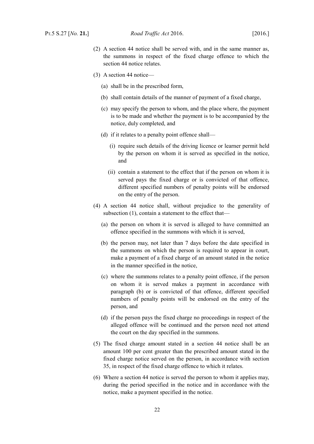- (2) A section 44 notice shall be served with, and in the same manner as, the summons in respect of the fixed charge offence to which the section 44 notice relates.
- (3) A section 44 notice—
	- (a) shall be in the prescribed form,
	- (b) shall contain details of the manner of payment of a fixed charge,
	- (c) may specify the person to whom, and the place where, the payment is to be made and whether the payment is to be accompanied by the notice, duly completed, and
	- (d) if it relates to a penalty point offence shall—
		- (i) require such details of the driving licence or learner permit held by the person on whom it is served as specified in the notice, and
		- (ii) contain a statement to the effect that if the person on whom it is served pays the fixed charge or is convicted of that offence, different specified numbers of penalty points will be endorsed on the entry of the person.
- (4) A section 44 notice shall, without prejudice to the generality of subsection (1), contain a statement to the effect that—
	- (a) the person on whom it is served is alleged to have committed an offence specified in the summons with which it is served,
	- (b) the person may, not later than 7 days before the date specified in the summons on which the person is required to appear in court, make a payment of a fixed charge of an amount stated in the notice in the manner specified in the notice,
	- (c) where the summons relates to a penalty point offence, if the person on whom it is served makes a payment in accordance with paragraph (b) or is convicted of that offence, different specified numbers of penalty points will be endorsed on the entry of the person, and
	- (d) if the person pays the fixed charge no proceedings in respect of the alleged offence will be continued and the person need not attend the court on the day specified in the summons.
- (5) The fixed charge amount stated in a section 44 notice shall be an amount 100 per cent greater than the prescribed amount stated in the fixed charge notice served on the person, in accordance with section 35, in respect of the fixed charge offence to which it relates.
- (6) Where a section 44 notice is served the person to whom it applies may, during the period specified in the notice and in accordance with the notice, make a payment specified in the notice.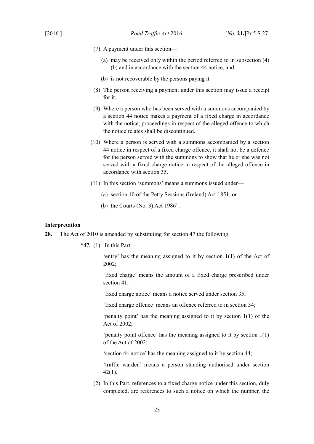- (7) A payment under this section—
	- (a) may be received only within the period referred to in subsection (4) (b) and in accordance with the section 44 notice, and
	- (b) is not recoverable by the persons paying it.
- (8) The person receiving a payment under this section may issue a receipt for it.
- (9) Where a person who has been served with a summons accompanied by a section 44 notice makes a payment of a fixed charge in accordance with the notice, proceedings in respect of the alleged offence to which the notice relates shall be discontinued.
- (10) Where a person is served with a summons accompanied by a section 44 notice in respect of a fixed charge offence, it shall not be a defence for the person served with the summons to show that he or she was not served with a fixed charge notice in respect of the alleged offence in accordance with section 35.
- (11) In this section 'summons' means a summons issued under—
	- (a) section 10 of the Petty Sessions (Ireland) Act 1851, or
	- (b) the Courts (No. 3) Act 1986".

## <span id="page-24-0"></span>**Interpretation**

**28.** The Act of 2010 is amended by substituting for section 47 the following:

"**47.** (1) In this Part—

'entry' has the meaning assigned to it by section 1(1) of the Act of 2002;

'fixed charge' means the amount of a fixed charge prescribed under section 41;

'fixed charge notice' means a notice served under section 35;

'fixed charge offence' means an offence referred to in section 34;

'penalty point' has the meaning assigned to it by section 1(1) of the Act of 2002;

'penalty point offence' has the meaning assigned to it by section 1(1) of the Act of 2002;

'section 44 notice' has the meaning assigned to it by section 44;

'traffic warden' means a person standing authorised under section  $42(1)$ .

(2) In this Part, references to a fixed charge notice under this section, duly completed, are references to such a notice on which the number, the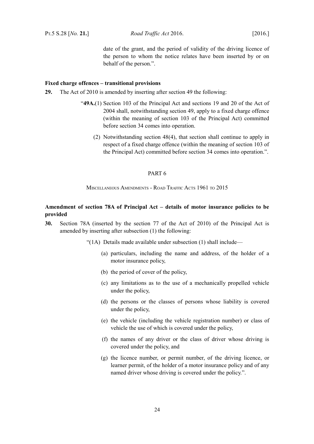date of the grant, and the period of validity of the driving licence of the person to whom the notice relates have been inserted by or on behalf of the person.".

### <span id="page-25-3"></span>**Fixed charge offences – transitional provisions**

- **29.** The Act of 2010 is amended by inserting after section 49 the following:
	- "**49A.**(1) Section 103 of the Principal Act and sections 19 and 20 of the Act of 2004 shall, notwithstanding section 49, apply to a fixed charge offence (within the meaning of section 103 of the Principal Act) committed before section 34 comes into operation.
		- (2) Notwithstanding section 48(4), that section shall continue to apply in respect of a fixed charge offence (within the meaning of section 103 of the Principal Act) committed before section 34 comes into operation.".

### <span id="page-25-2"></span>PART 6

#### <span id="page-25-1"></span>MISCELLANEOUS AMENDMENTS - ROAD TRAFFIC ACTS 1961 TO 2015

# <span id="page-25-0"></span>**Amendment of section 78A of Principal Act – details of motor insurance policies to be provided**

**30.** Section 78A (inserted by the section 77 of the Act of 2010) of the Principal Act is amended by inserting after subsection (1) the following:

"(1A) Details made available under subsection (1) shall include—

- (a) particulars, including the name and address, of the holder of a motor insurance policy,
- (b) the period of cover of the policy,
- (c) any limitations as to the use of a mechanically propelled vehicle under the policy,
- (d) the persons or the classes of persons whose liability is covered under the policy,
- (e) the vehicle (including the vehicle registration number) or class of vehicle the use of which is covered under the policy,
- (f) the names of any driver or the class of driver whose driving is covered under the policy, and
- (g) the licence number, or permit number, of the driving licence, or learner permit, of the holder of a motor insurance policy and of any named driver whose driving is covered under the policy.".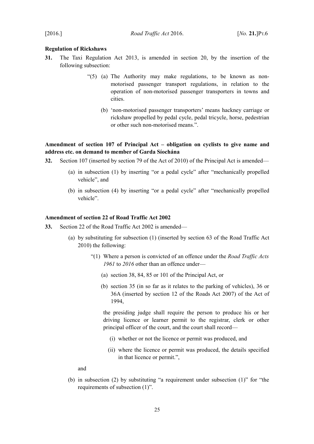### <span id="page-26-2"></span>**Regulation of Rickshaws**

- **31.** The Taxi Regulation Act 2013, is amended in section 20, by the insertion of the following subsection:
	- "(5) (a) The Authority may make regulations, to be known as nonmotorised passenger transport regulations, in relation to the operation of non-motorised passenger transporters in towns and cities.
		- (b) 'non-motorised passenger transporters' means hackney carriage or rickshaw propelled by pedal cycle, pedal tricycle, horse, pedestrian or other such non-motorised means.".

# <span id="page-26-1"></span>**Amendment of section 107 of Principal Act – obligation on cyclists to give name and address etc. on demand to member of Garda Síochána**

- **32.** Section 107 (inserted by section 79 of the Act of 2010) of the Principal Act is amended—
	- (a) in subsection (1) by inserting "or a pedal cycle" after "mechanically propelled vehicle", and
	- (b) in subsection (4) by inserting "or a pedal cycle" after "mechanically propelled vehicle".

### <span id="page-26-0"></span>**Amendment of section 22 of Road Traffic Act 2002**

- **33.** Section 22 of the Road Traffic Act 2002 is amended—
	- (a) by substituting for subsection (1) (inserted by section 63 of the Road Traffic Act 2010) the following:
		- "(1) Where a person is convicted of an offence under the *Road Traffic Acts 1961* to *2016* other than an offence under—
			- (a) section 38, 84, 85 or 101 of the Principal Act, or
			- (b) section 35 (in so far as it relates to the parking of vehicles), 36 or 36A (inserted by section 12 of the Roads Act 2007) of the Act of 1994,

the presiding judge shall require the person to produce his or her driving licence or learner permit to the registrar, clerk or other principal officer of the court, and the court shall record—

- (i) whether or not the licence or permit was produced, and
- (ii) where the licence or permit was produced, the details specified in that licence or permit.",

and

(b) in subsection (2) by substituting "a requirement under subsection (1)" for "the requirements of subsection (1)".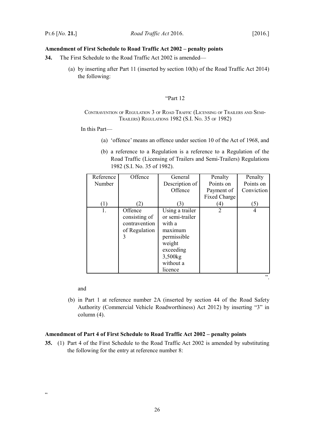## <span id="page-27-1"></span>**Amendment of First Schedule to Road Traffic Act 2002 – penalty points**

- **34.** The First Schedule to the Road Traffic Act 2002 is amended—
	- (a) by inserting after Part 11 (inserted by section 10(h) of the Road Traffic Act 2014) the following:

### "Part 12

## CONTRAVENTION OF REGULATION 3 OF ROAD TRAFFIC (LICENSING OF TRAILERS AND SEMI-TRAILERS) REGULATIONS 1982 (S.I. NO. 35 OF 1982)

In this Part—

- (a) 'offence' means an offence under section 10 of the Act of 1968, and
- (b) a reference to a Regulation is a reference to a Regulation of the Road Traffic (Licensing of Trailers and Semi-Trailers) Regulations 1982 (S.I. No. 35 of 1982).

| Reference | Offence       | General         | Penalty             | Penalty        |
|-----------|---------------|-----------------|---------------------|----------------|
| Number    |               | Description of  | Points on           | Points on      |
|           |               | Offence         | Payment of          | Conviction     |
|           |               |                 | <b>Fixed Charge</b> |                |
| (1)       | (2)           | (3)             | $\left( 4\right)$   | (5)            |
| 1.        | Offence       | Using a trailer | $\overline{2}$      | $\overline{4}$ |
|           | consisting of | or semi-trailer |                     |                |
|           | contravention | with a          |                     |                |
|           | of Regulation | maximum         |                     |                |
|           | 3             | permissible     |                     |                |
|           |               | weight          |                     |                |
|           |               | exceeding       |                     |                |
|           |               | 3,500kg         |                     |                |
|           |               | without a       |                     |                |
|           |               | licence         |                     |                |
|           |               |                 |                     | , 2, 3         |

and

(b) in Part 1 at reference number 2A (inserted by section 44 of the Road Safety Authority (Commercial Vehicle Roadworthiness) Act 2012) by inserting "3" in column (4).

### <span id="page-27-0"></span>**Amendment of Part 4 of First Schedule to Road Traffic Act 2002 – penalty points**

**35.** (1) Part 4 of the First Schedule to the Road Traffic Act 2002 is amended by substituting the following for the entry at reference number 8: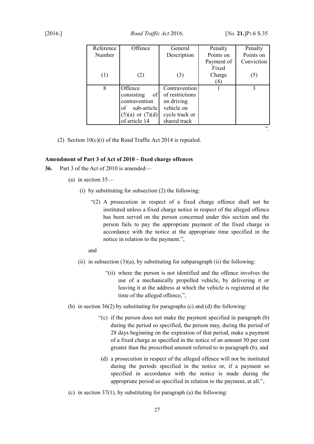| Reference | Offence              | General         | Penalty    | Penalty    |
|-----------|----------------------|-----------------|------------|------------|
| Number    |                      | Description     | Points on  | Points on  |
|           |                      |                 | Payment of | Conviction |
|           |                      |                 | Fixed      |            |
| (1)       | (2)                  | (3)             | Charge     | (5)        |
|           |                      |                 | (4)        |            |
| 8         | Offence              | Contravention   |            | 3          |
|           | of<br>consisting     | of restrictions |            |            |
|           | contravention        | on driving      |            |            |
|           | sub-article<br>of    | vehicle on      |            |            |
|           | $(5)(a)$ or $(7)(d)$ | cycle track or  |            |            |
|           | of article 14        | shared track    |            |            |
|           |                      |                 |            | 55         |

(2) Section  $10(c)(i)$  of the Road Traffic Act 2014 is repealed.

### <span id="page-28-0"></span>**Amendment of Part 3 of Act of 2010 – fixed charge offences**

- **36.** Part 3 of the Act of 2010 is amended—
	- (a) in section 35—
		- (i) by substituting for subsection (2) the following:
			- "(2) A prosecution in respect of a fixed charge offence shall not be instituted unless a fixed charge notice in respect of the alleged offence has been served on the person concerned under this section and the person fails to pay the appropriate payment of the fixed charge in accordance with the notice at the appropriate time specified in the notice in relation to the payment.",

and

- (ii) in subsection  $(3)(a)$ , by substituting for subparagraph (ii) the following:
	- "(ii) where the person is not identified and the offence involves the use of a mechanically propelled vehicle, by delivering it or leaving it at the address at which the vehicle is registered at the time of the alleged offence,",
- (b) in section 36(2) by substituting for paragraphs (c) and (d) the following:
	- "(c) if the person does not make the payment specified in paragraph (b) during the period so specified, the person may, during the period of 28 days beginning on the expiration of that period, make a payment of a fixed charge as specified in the notice of an amount 50 per cent greater than the prescribed amount referred to in paragraph (b), and
	- (d) a prosecution in respect of the alleged offence will not be instituted during the periods specified in the notice or, if a payment so specified in accordance with the notice is made during the appropriate period so specified in relation to the payment, at all.",
- (c) in section  $37(1)$ , by substituting for paragraph (a) the following: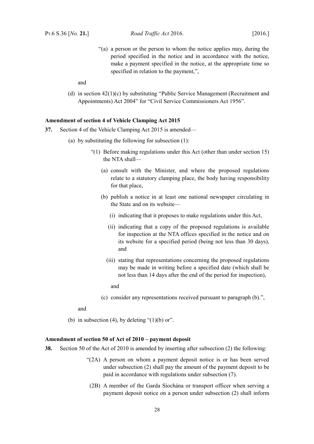"(a) a person or the person to whom the notice applies may, during the period specified in the notice and in accordance with the notice, make a payment specified in the notice, at the appropriate time so specified in relation to the payment,",

and

(d) in section 42(1)(c) by substituting "Public Service Management (Recruitment and Appointments) Act 2004" for "Civil Service Commissioners Act 1956".

### <span id="page-29-1"></span>**Amendment of section 4 of Vehicle Clamping Act 2015**

- **37.** Section 4 of the Vehicle Clamping Act 2015 is amended—
	- (a) by substituting the following for subsection (1):
		- "(1) Before making regulations under this Act (other than under section 15) the NTA shall—
			- (a) consult with the Minister, and where the proposed regulations relate to a statutory clamping place, the body having responsibility for that place,
			- (b) publish a notice in at least one national newspaper circulating in the State and on its website—
				- (i) indicating that it proposes to make regulations under this Act,
				- (ii) indicating that a copy of the proposed regulations is available for inspection at the NTA offices specified in the notice and on its website for a specified period (being not less than 30 days), and
				- (iii) stating that representations concerning the proposed regulations may be made in writing before a specified date (which shall be not less than 14 days after the end of the period for inspection),
					- and
			- (c) consider any representations received pursuant to paragraph (b).",

and

(b) in subsection (4), by deleting " $(1)(b)$  or".

## <span id="page-29-0"></span>**Amendment of section 50 of Act of 2010 – payment deposit**

- **38.** Section 50 of the Act of 2010 is amended by inserting after subsection (2) the following:
	- "(2A) A person on whom a payment deposit notice is or has been served under subsection (2) shall pay the amount of the payment deposit to be paid in accordance with regulations under subsection (7).
	- (2B) A member of the Garda Síochána or transport officer when serving a payment deposit notice on a person under subsection (2) shall inform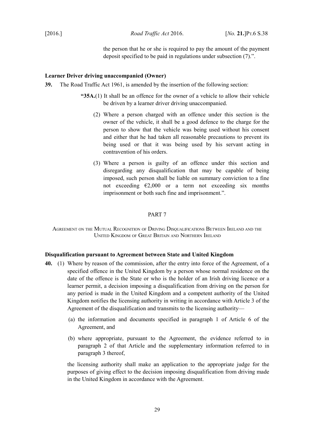the person that he or she is required to pay the amount of the payment deposit specified to be paid in regulations under subsection (7).".

### <span id="page-30-0"></span>**Learner Driver driving unaccompanied (Owner)**

- **39.** The Road Traffic Act 1961, is amended by the insertion of the following section:
	- **"35A.**(1) It shall be an offence for the owner of a vehicle to allow their vehicle be driven by a learner driver driving unaccompanied.
		- (2) Where a person charged with an offence under this section is the owner of the vehicle, it shall be a good defence to the charge for the person to show that the vehicle was being used without his consent and either that he had taken all reasonable precautions to prevent its being used or that it was being used by his servant acting in contravention of his orders.
		- (3) Where a person is guilty of an offence under this section and disregarding any disqualification that may be capable of being imposed, such person shall be liable on summary conviction to a fine not exceeding  $E2,000$  or a term not exceeding six months imprisonment or both such fine and imprisonment.".

### <span id="page-30-3"></span>PART 7

<span id="page-30-2"></span>AGREEMENT ON THE MUTUAL RECOGNITION OF DRIVING DISQUALIFICATIONS BETWEEN IRELAND AND THE UNITED KINGDOM OF GREAT BRITAIN AND NORTHERN IRELAND

### <span id="page-30-1"></span>**Disqualification pursuant to Agreement between State and United Kingdom**

- <span id="page-30-5"></span><span id="page-30-4"></span>**40.** (1) Where by reason of the commission, after the entry into force of the Agreement, of a specified offence in the United Kingdom by a person whose normal residence on the date of the offence is the State or who is the holder of an Irish driving licence or a learner permit, a decision imposing a disqualification from driving on the person for any period is made in the United Kingdom and a competent authority of the United Kingdom notifies the licensing authority in writing in accordance with Article 3 of the Agreement of the disqualification and transmits to the licensing authority—
	- (a) the information and documents specified in paragraph 1 of Article 6 of the Agreement, and
	- (b) where appropriate, pursuant to the Agreement, the evidence referred to in paragraph 2 of that Article and the supplementary information referred to in paragraph 3 thereof,

the licensing authority shall make an application to the appropriate judge for the purposes of giving effect to the decision imposing disqualification from driving made in the United Kingdom in accordance with the Agreement.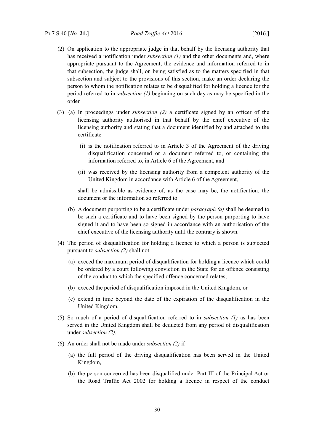- <span id="page-31-0"></span>(2) On application to the appropriate judge in that behalf by the licensing authority that has received a notification under *subsection [\(1\)](#page-30-4)* and the other documents and, where appropriate pursuant to the Agreement, the evidence and information referred to in that subsection, the judge shall, on being satisfied as to the matters specified in that subsection and subject to the provisions of this section, make an order declaring the person to whom the notification relates to be disqualified for holding a licence for the period referred to in *subsection [\(1\)](#page-30-4)* beginning on such day as may be specified in the order.
- <span id="page-31-1"></span>(3) (a) In proceedings under *subsection [\(2\)](#page-31-0)* a certificate signed by an officer of the licensing authority authorised in that behalf by the chief executive of the licensing authority and stating that a document identified by and attached to the certificate—
	- (i) is the notification referred to in Article 3 of the Agreement of the driving disqualification concerned or a document referred to, or containing the information referred to, in Article 6 of the Agreement, and
	- (ii) was received by the licensing authority from a competent authority of the United Kingdom in accordance with Article 6 of the Agreement,

shall be admissible as evidence of, as the case may be, the notification, the document or the information so referred to.

- (b) A document purporting to be a certificate under *paragraph [\(a\)](#page-31-1)* shall be deemed to be such a certificate and to have been signed by the person purporting to have signed it and to have been so signed in accordance with an authorisation of the chief executive of the licensing authority until the contrary is shown.
- (4) The period of disqualification for holding a licence to which a person is subjected pursuant to *subsection [\(2\)](#page-31-0)* shall not—
	- (a) exceed the maximum period of disqualification for holding a licence which could be ordered by a court following conviction in the State for an offence consisting of the conduct to which the specified offence concerned relates,
	- (b) exceed the period of disqualification imposed in the United Kingdom, or
	- (c) extend in time beyond the date of the expiration of the disqualification in the United Kingdom.
- (5) So much of a period of disqualification referred to in *subsection [\(1\)](#page-30-4)* as has been served in the United Kingdom shall be deducted from any period of disqualification under *subsection [\(2\)](#page-31-0)*.
- (6) An order shall not be made under *subsection [\(2\)](#page-31-0)* if*—*
	- (a) the full period of the driving disqualification has been served in the United Kingdom,
	- (b) the person concerned has been disqualified under Part III of the Principal Act or the Road Traffic Act 2002 for holding a licence in respect of the conduct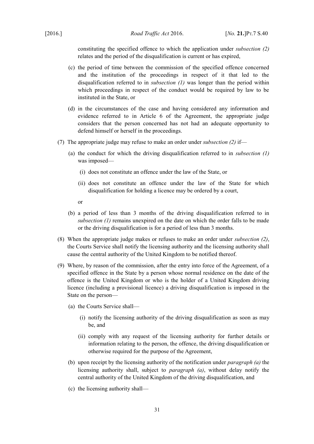constituting the specified offence to which the application under *subsection [\(2\)](#page-31-0)* relates and the period of the disqualification is current or has expired,

- (c) the period of time between the commission of the specified offence concerned and the institution of the proceedings in respect of it that led to the disqualification referred to in *subsection [\(1\)](#page-30-4)* was longer than the period within which proceedings in respect of the conduct would be required by law to be instituted in the State, or
- (d) in the circumstances of the case and having considered any information and evidence referred to in Article 6 of the Agreement, the appropriate judge considers that the person concerned has not had an adequate opportunity to defend himself or herself in the proceedings.
- (7) The appropriate judge may refuse to make an order under *subsection [\(2\)](#page-31-0)* if—
	- (a) the conduct for which the driving disqualification referred to in *subsection [\(1\)](#page-30-4)* was imposed—
		- (i) does not constitute an offence under the law of the State, or
		- (ii) does not constitute an offence under the law of the State for which disqualification for holding a licence may be ordered by a court,
		- or
	- (b) a period of less than 3 months of the driving disqualification referred to in *subsection [\(1\)](#page-30-4)* remains unexpired on the date on which the order falls to be made or the driving disqualification is for a period of less than 3 months.
- (8) When the appropriate judge makes or refuses to make an order under *subsection [\(2\)](#page-31-0)*, the Courts Service shall notify the licensing authority and the licensing authority shall cause the central authority of the United Kingdom to be notified thereof.
- <span id="page-32-0"></span>(9) Where, by reason of the commission, after the entry into force of the Agreement, of a specified offence in the State by a person whose normal residence on the date of the offence is the United Kingdom or who is the holder of a United Kingdom driving licence (including a provisional licence) a driving disqualification is imposed in the State on the person—
	- (a) the Courts Service shall—
		- (i) notify the licensing authority of the driving disqualification as soon as may be, and
		- (ii) comply with any request of the licensing authority for further details or information relating to the person, the offence, the driving disqualification or otherwise required for the purpose of the Agreement,
	- (b) upon receipt by the licensing authority of the notification under *paragraph [\(a\)](#page-32-0)* the licensing authority shall, subject to *paragraph [\(a\)](#page-8-5)*, without delay notify the central authority of the United Kingdom of the driving disqualification, and
	- (c) the licensing authority shall—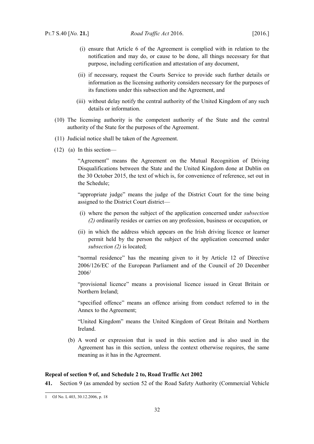- (i) ensure that Article 6 of the Agreement is complied with in relation to the notification and may do, or cause to be done, all things necessary for that purpose, including certification and attestation of any document,
- (ii) if necessary, request the Courts Service to provide such further details or information as the licensing authority considers necessary for the purposes of its functions under this subsection and the Agreement, and
- (iii) without delay notify the central authority of the United Kingdom of any such details or information.
- (10) The licensing authority is the competent authority of the State and the central authority of the State for the purposes of the Agreement.
- (11) Judicial notice shall be taken of the Agreement.
- (12) (a) In this section—

"Agreement" means the Agreement on the Mutual Recognition of Driving Disqualifications between the State and the United Kingdom done at Dublin on the 30 October 2015, the text of which is, for convenience of reference, set out in the Schedule;

"appropriate judge" means the judge of the District Court for the time being assigned to the District Court district—

- (i) where the person the subject of the application concerned under *subsection [\(2\)](#page-31-0)* ordinarily resides or carries on any profession, business or occupation, or
- (ii) in which the address which appears on the Irish driving licence or learner permit held by the person the subject of the application concerned under *subsection [\(2\)](#page-31-0)* is located;

"normal residence" has the meaning given to it by Article 12 of Directive 2006/126/EC of the European Parliament and of the Council of 20 December  $2006<sup>1</sup>$  $2006<sup>1</sup>$  $2006<sup>1</sup>$ 

"provisional licence" means a provisional licence issued in Great Britain or Northern Ireland;

"specified offence" means an offence arising from conduct referred to in the Annex to the Agreement;

"United Kingdom" means the United Kingdom of Great Britain and Northern Ireland.

(b) A word or expression that is used in this section and is also used in the Agreement has in this section, unless the context otherwise requires, the same meaning as it has in the Agreement.

### <span id="page-33-0"></span>**Repeal of section 9 of, and Schedule 2 to, Road Traffic Act 2002**

**41.** Section 9 (as amended by section 52 of the Road Safety Authority (Commercial Vehicle

<span id="page-33-1"></span><sup>1</sup> OJ No. L 403, 30.12.2006, p. 18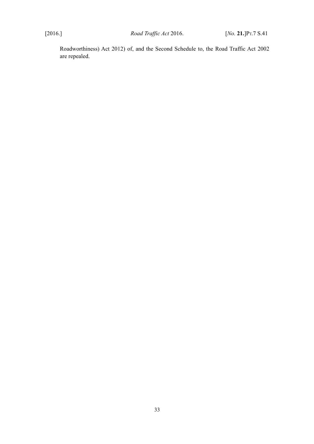Roadworthiness) Act 2012) of, and the Second Schedule to, the Road Traffic Act 2002 are repealed.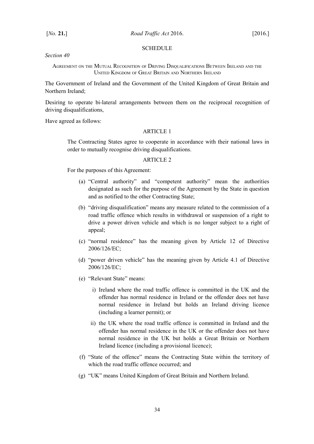#### <span id="page-35-1"></span>SCHEDULE

*Section [40](#page-30-5)*

<span id="page-35-0"></span>AGREEMENT ON THE MUTUAL RECOGNITION OF DRIVING DISQUALIFICATIONS BETWEEN IRELAND AND THE UNITED KINGDOM OF GREAT BRITAIN AND NORTHERN IRELAND

The Government of Ireland and the Government of the United Kingdom of Great Britain and Northern Ireland;

Desiring to operate bi-lateral arrangements between them on the reciprocal recognition of driving disqualifications,

Have agreed as follows:

### ARTICLE 1

The Contracting States agree to cooperate in accordance with their national laws in order to mutually recognise driving disqualifications.

### ARTICLE 2

For the purposes of this Agreement:

- (a) "Central authority" and "competent authority" mean the authorities designated as such for the purpose of the Agreement by the State in question and as notified to the other Contracting State;
- (b) "driving disqualification" means any measure related to the commission of a road traffic offence which results in withdrawal or suspension of a right to drive a power driven vehicle and which is no longer subject to a right of appeal;
- (c) "normal residence" has the meaning given by Article 12 of Directive 2006/126/EC;
- (d) "power driven vehicle" has the meaning given by Article 4.1 of Directive 2006/126/EC;
- (e) "Relevant State" means:
	- i) Ireland where the road traffic offence is committed in the UK and the offender has normal residence in Ireland or the offender does not have normal residence in Ireland but holds an Ireland driving licence (including a learner permit); or
	- ii) the UK where the road traffic offence is committed in Ireland and the offender has normal residence in the UK or the offender does not have normal residence in the UK but holds a Great Britain or Northern Ireland licence (including a provisional licence);
- (f) "State of the offence" means the Contracting State within the territory of which the road traffic offence occurred; and
- (g) "UK" means United Kingdom of Great Britain and Northern Ireland.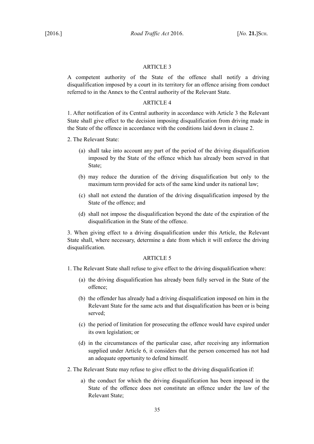## ARTICLE 3

A competent authority of the State of the offence shall notify a driving disqualification imposed by a court in its territory for an offence arising from conduct referred to in the Annex to the Central authority of the Relevant State.

## ARTICLE 4

1. After notification of its Central authority in accordance with Article 3 the Relevant State shall give effect to the decision imposing disqualification from driving made in the State of the offence in accordance with the conditions laid down in clause 2.

- 2. The Relevant State:
	- (a) shall take into account any part of the period of the driving disqualification imposed by the State of the offence which has already been served in that State;
	- (b) may reduce the duration of the driving disqualification but only to the maximum term provided for acts of the same kind under its national law;
	- (c) shall not extend the duration of the driving disqualification imposed by the State of the offence; and
	- (d) shall not impose the disqualification beyond the date of the expiration of the disqualification in the State of the offence.

3. When giving effect to a driving disqualification under this Article, the Relevant State shall, where necessary, determine a date from which it will enforce the driving disqualification.

## ARTICLE<sub>5</sub>

- 1. The Relevant State shall refuse to give effect to the driving disqualification where:
	- (a) the driving disqualification has already been fully served in the State of the offence;
	- (b) the offender has already had a driving disqualification imposed on him in the Relevant State for the same acts and that disqualification has been or is being served;
	- (c) the period of limitation for prosecuting the offence would have expired under its own legislation; or
	- (d) in the circumstances of the particular case, after receiving any information supplied under Article 6, it considers that the person concerned has not had an adequate opportunity to defend himself.
- 2. The Relevant State may refuse to give effect to the driving disqualification if:
	- a) the conduct for which the driving disqualification has been imposed in the State of the offence does not constitute an offence under the law of the Relevant State;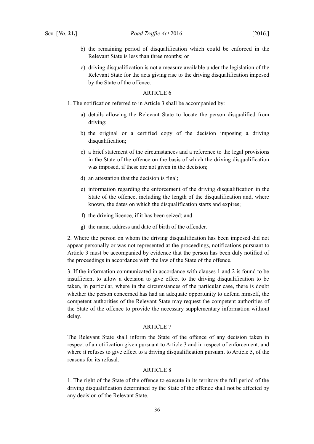- b) the remaining period of disqualification which could be enforced in the Relevant State is less than three months; or
- c) driving disqualification is not a measure available under the legislation of the Relevant State for the acts giving rise to the driving disqualification imposed by the State of the offence.

#### ARTICLE 6

- 1. The notification referred to in Article 3 shall be accompanied by:
	- a) details allowing the Relevant State to locate the person disqualified from driving;
	- b) the original or a certified copy of the decision imposing a driving disqualification;
	- c) a brief statement of the circumstances and a reference to the legal provisions in the State of the offence on the basis of which the driving disqualification was imposed, if these are not given in the decision;
	- d) an attestation that the decision is final;
	- e) information regarding the enforcement of the driving disqualification in the State of the offence, including the length of the disqualification and, where known, the dates on which the disqualification starts and expires;
	- f) the driving licence, if it has been seized; and
	- g) the name, address and date of birth of the offender.

2. Where the person on whom the driving disqualification has been imposed did not appear personally or was not represented at the proceedings, notifications pursuant to Article 3 must be accompanied by evidence that the person has been duly notified of the proceedings in accordance with the law of the State of the offence.

3. If the information communicated in accordance with clauses 1 and 2 is found to be insufficient to allow a decision to give effect to the driving disqualification to be taken, in particular, where in the circumstances of the particular case, there is doubt whether the person concerned has had an adequate opportunity to defend himself, the competent authorities of the Relevant State may request the competent authorities of the State of the offence to provide the necessary supplementary information without delay.

### ARTICLE 7

The Relevant State shall inform the State of the offence of any decision taken in respect of a notification given pursuant to Article 3 and in respect of enforcement, and where it refuses to give effect to a driving disqualification pursuant to Article 5, of the reasons for its refusal.

## ARTICLE 8

1. The right of the State of the offence to execute in its territory the full period of the driving disqualification determined by the State of the offence shall not be affected by any decision of the Relevant State.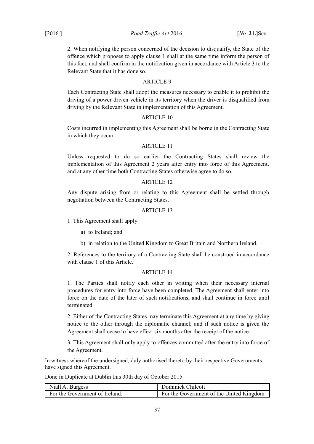2. When notifying the person concerned of the decision to disqualify, the State of the offence which proposes to apply clause 1 shall at the same time inform the person of this fact, and shall confirm in the notification given in accordance with Article 3 to the Relevant State that it has done so.

# ARTICLE 9

Each Contracting State shall adopt the measures necessary to enable it to prohibit the driving of a power driven vehicle in its territory when the driver is disqualified from driving by the Relevant State in implementation of this Agreement.

## ARTICLE 10

Costs incurred in implementing this Agreement shall be borne in the Contracting State in which they occur.

# ARTICLE 11

Unless requested to do so earlier the Contracting States shall review the implementation of this Agreement 2 years after entry into force of this Agreement, and at any other time both Contracting States otherwise agree to do so.

## ARTICLE 12

Any dispute arising from or relating to this Agreement shall be settled through negotiation between the Contracting States.

## ARTICLE 13

1. This Agreement shall apply:

a) to Ireland; and

b) in relation to the United Kingdom to Great Britain and Northern Ireland.

2. References to the territory of a Contracting State shall be construed in accordance with clause 1 of this Article.

### ARTICLE 14

1. The Parties shall notify each other in writing when their necessary internal procedures for entry into force have been completed. The Agreement shall enter into force on the date of the later of such notifications, and shall continue in force until terminated.

2. Either of the Contracting States may terminate this Agreement at any time by giving notice to the other through the diplomatic channel; and if such notice is given the Agreement shall cease to have effect six months after the receipt of the notice.

3. This Agreement shall only apply to offences committed after the entry into force of the Agreement.

In witness whereof the undersigned, duly authorised thereto by their respective Governments, have signed this Agreement.

Done in Duplicate at Dublin this 30th day of October 2015.

| Niall A. Burgess               | Dominick Chilcott                        |
|--------------------------------|------------------------------------------|
| For the Government of Ireland: | For the Government of the United Kingdom |